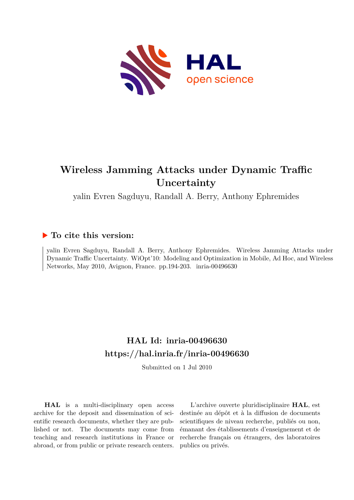

## **Wireless Jamming Attacks under Dynamic Traffic Uncertainty**

yalin Evren Sagduyu, Randall A. Berry, Anthony Ephremides

### **To cite this version:**

yalin Evren Sagduyu, Randall A. Berry, Anthony Ephremides. Wireless Jamming Attacks under Dynamic Traffic Uncertainty. WiOpt'10: Modeling and Optimization in Mobile, Ad Hoc, and Wireless Networks, May 2010, Avignon, France. pp.194-203. inria-00496630

## **HAL Id: inria-00496630 <https://hal.inria.fr/inria-00496630>**

Submitted on 1 Jul 2010

**HAL** is a multi-disciplinary open access archive for the deposit and dissemination of scientific research documents, whether they are published or not. The documents may come from teaching and research institutions in France or abroad, or from public or private research centers.

L'archive ouverte pluridisciplinaire **HAL**, est destinée au dépôt et à la diffusion de documents scientifiques de niveau recherche, publiés ou non, émanant des établissements d'enseignement et de recherche français ou étrangers, des laboratoires publics ou privés.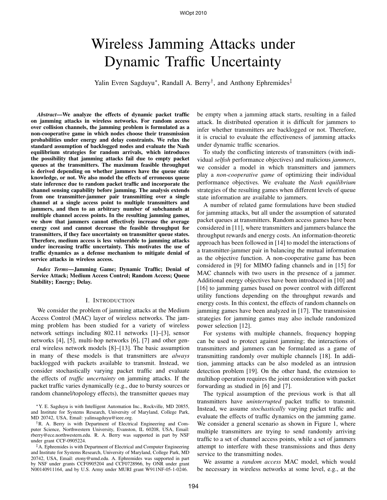# Wireless Jamming Attacks under Dynamic Traffic Uncertainty

Yalin Evren Sagduyu<sup>∗</sup>, Randall A. Berry<sup>†</sup>, and Anthony Ephremides<sup>‡</sup>

*Abstract***—We analyze the effects of dynamic packet traffic on jamming attacks in wireless networks. For random access over collision channels, the jamming problem is formulated as a non-cooperative game in which nodes choose their transmission probabilities under energy and delay constraints. We relax the standard assumption of backlogged nodes and evaluate the Nash equilibrium strategies for random arrivals, which introduces the possibility that jamming attacks fail due to empty packet queues at the transmitters. The maximum feasible throughput is derived depending on whether jammers have the queue state knowledge, or not. We also model the effects of erroneous queue state inference due to random packet traffic and incorporate the channel sensing capability before jamming. The analysis extends from one transmitter-jammer pair transmitting over a single channel at a single access point to multiple transmitters and jammers, and then to an arbitrary number of subchannels at multiple channel access points. In the resulting jamming games, we show that jammers cannot effectively increase the average energy cost and cannot decrease the feasible throughput for transmitters, if they face uncertainty on transmitter queue states. Therefore, medium access is less vulnerable to jamming attacks under increasing traffic uncertainty. This motivates the use of traffic dynamics as a defense mechanism to mitigate denial of service attacks in wireless access.**

*Index Terms***—Jamming Game; Dynamic Traffic; Denial of Service Attack; Medium Access Control; Random Access; Queue Stability; Energy; Delay.**

#### I. INTRODUCTION

We consider the problem of jamming attacks at the Medium Access Control (MAC) layer of wireless networks. The jamming problem has been studied for a variety of wireless network settings including 802.11 networks [1]–[3], sensor networks [4], [5], multi-hop networks [6], [7] and other general wireless network models [8]–[13]. The basic assumption in many of these models is that transmitters are *always* backlogged with packets available to transmit. Instead, we consider stochastically varying packet traffic and evaluate the effects of *traffic uncertainty* on jamming attacks. If the packet traffic varies dynamically (e.g., due to bursty sources or random channel/topology effects), the transmitter queues may

<sup>∗</sup>Y. E. Sagduyu is with Intelligent Automation Inc., Rockville, MD 20855, and Institute for Systems Research, University of Maryland, College Park, MD 20742, USA, Email: yalinsagduyu@ieee.org.

†R. A. Berry is with Department of Electrical Engineering and Computer Science, Northwestern University, Evanston, IL 60208, USA, Email: rberry@ece.northwestern.edu. R. A. Berry was supported in part by NSF under grant CCF-0905224.

‡A. Ephremides is with Department of Electrical and Computer Engineering and Institute for Systems Research, University of Maryland, College Park, MD 20742, USA, Email: etony@umd.edu. A. Ephremides was supported in part by NSF under grants CCF0905204 and CCF0728966, by ONR under grant N00140911164, and by U.S. Army under MURI grant W911NF-05-1-0246.

be empty when a jamming attack starts, resulting in a failed attack. In distributed operation it is difficult for jammers to infer whether transmitters are backlogged or not. Therefore, it is crucial to evaluate the effectiveness of jamming attacks under dynamic traffic scenarios.

To study the conflicting interests of transmitters (with individual *selfish* performance objectives) and malicious *jammers*, we consider a model in which transmitters and jammers play a *non-cooperative game* of optimizing their individual performance objectives. We evaluate the *Nash equilibrium* strategies of the resulting games when different levels of queue state information are available to jammers.

A number of related game formulations have been studied for jamming attacks, but all under the assumption of saturated packet queues at transmitters. Random access games have been considered in [11], where transmitters and jammers balance the throughput rewards and energy costs. An information-theoretic approach has been followed in [14] to model the interactions of a transmitter-jammer pair in balancing the mutual information as the objective function. A non-cooperative game has been considered in [9] for MIMO fading channels and in [15] for MAC channels with two users in the presence of a jammer. Additional energy objectives have been introduced in [10] and [16] to jamming games based on power control with different utility functions depending on the throughput rewards and energy costs. In this context, the effects of random channels on jamming games have been analyzed in [17]. The transmission strategies for jamming games may also include randomized power selection [12].

For systems with multiple channels, frequency hopping can be used to protect against jamming; the interactions of transmitters and jammers can be formulated as a game of transmitting randomly over multiple channels [18]. In addition, jamming attacks can be also modeled as an intrusion detection problem [19]. On the other hand, the extension to multihop operation requires the joint consideration with packet forwarding as studied in [6] and [7].

The typical assumption of the previous work is that all transmitters have *uninterrupted* packet traffic to transmit. Instead, we assume *stochastically* varying packet traffic and evaluate the effects of traffic dynamics on the jamming game. We consider a general scenario as shown in Figure 1, where multiple transmitters are trying to send randomly arriving traffic to a set of channel access points, while a set of jammers attempt to interfere with these transmissions and thus deny service to the transmitting nodes.

We assume a *random access* MAC model, which would be necessary in wireless networks at some level, e.g., at the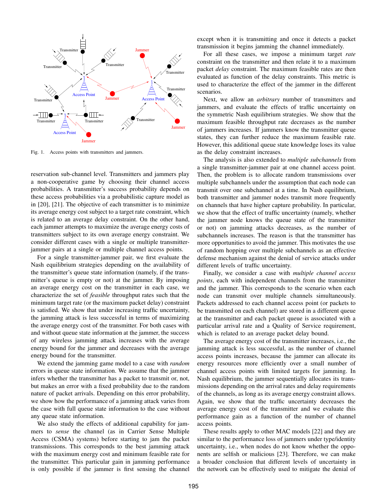

Fig. 1. Access points with transmitters and jammers.

reservation sub-channel level. Transmitters and jammers play a non-cooperative game by choosing their channel access probabilities. A transmitter's success probability depends on these access probabilities via a probabilistic capture model as in [20], [21]. The objective of each transmitter is to minimize its average energy cost subject to a target rate constraint, which is related to an average delay constraint. On the other hand, each jammer attempts to maximize the average energy costs of transmitters subject to its own average energy constraint. We consider different cases with a single or multiple transmitterjammer pairs at a single or multiple channel access points.

For a single transmitter-jammer pair, we first evaluate the Nash equilibrium strategies depending on the availability of the transmitter's queue state information (namely, if the transmitter's queue is empty or not) at the jammer. By imposing an average energy cost on the transmitter in each case, we characterize the set of *feasible* throughput rates such that the minimum target rate (or the maximum packet delay) constraint is satisfied. We show that under increasing traffic uncertainty, the jamming attack is less successful in terms of maximizing the average energy cost of the transmitter. For both cases with and without queue state information at the jammer, the success of any wireless jamming attack increases with the average energy bound for the jammer and decreases with the average energy bound for the transmitter.

We extend the jamming game model to a case with *random* errors in queue state information. We assume that the jammer infers whether the transmitter has a packet to transmit or, not, but makes an error with a fixed probability due to the random nature of packet arrivals. Depending on this error probability, we show how the performance of a jamming attack varies from the case with full queue state information to the case without any queue state information.

We also study the effects of additional capability for jammers to *sense* the channel (as in Carrier Sense Multiple Access (CSMA) systems) before starting to jam the packet transmissions. This corresponds to the best jamming attack with the maximum energy cost and minimum feasible rate for the transmitter. This particular gain in jamming performance is only possible if the jammer is first sensing the channel except when it is transmitting and once it detects a packet transmission it begins jamming the channel immediately.

For all these cases, we impose a minimum target *rate* constraint on the transmitter and then relate it to a maximum packet *delay* constraint. The maximum feasible rates are then evaluated as function of the delay constraints. This metric is used to characterize the effect of the jammer in the different scenarios.

Next, we allow an *arbitrary* number of transmitters and jammers, and evaluate the effects of traffic uncertainty on the symmetric Nash equilibrium strategies. We show that the maximum feasible throughput rate decreases as the number of jammers increases. If jammers know the transmitter queue states, they can further reduce the maximum feasible rate. However, this additional queue state knowledge loses its value as the delay constraint increases.

The analysis is also extended to *multiple subchannels* from a single transmitter-jammer pair at one channel access point. Then, the problem is to allocate random transmissions over multiple subchannels under the assumption that each node can transmit over one subchannel at a time. In Nash equilibrium, both transmitter and jammer nodes transmit more frequently on channels that have higher capture probability. In particular, we show that the effect of traffic uncertainty (namely, whether the jammer node knows the queue state of the transmitter or not) on jamming attacks decreases, as the number of subchannels increases. The reason is that the transmitter has more opportunities to avoid the jammer. This motivates the use of random hopping over multiple subchannels as an effective defense mechanism against the denial of service attacks under different levels of traffic uncertainty.

Finally, we consider a case with *multiple channel access points*, each with independent channels from the transmitter and the jammer. This corresponds to the scenario when each node can transmit over multiple channels simultaneously. Packets addressed to each channel access point (or packets to be transmitted on each channel) are stored in a different queue at the transmitter and each packet queue is associated with a particular arrival rate and a Quality of Service requirement, which is related to an average packet delay bound.

The average energy cost of the transmitter increases, i.e., the jamming attack is less successful, as the number of channel access points increases, because the jammer can allocate its energy resources more efficiently over a small number of channel access points with limited targets for jamming. In Nash equilibrium, the jammer sequentially allocates its transmissions depending on the arrival rates and delay requirements of the channels, as long as its average energy constraint allows. Again, we show that the traffic uncertainty decreases the average energy cost of the transmitter and we evaluate this performance gain as a function of the number of channel access points.

These results apply to other MAC models [22] and they are similar to the performance loss of jammers under type/identity uncertainty, i.e., when nodes do not know whether the opponents are selfish or malicious [23]. Therefore, we can make a broader conclusion that different levels of uncertainty in the network can be effectively used to mitigate the denial of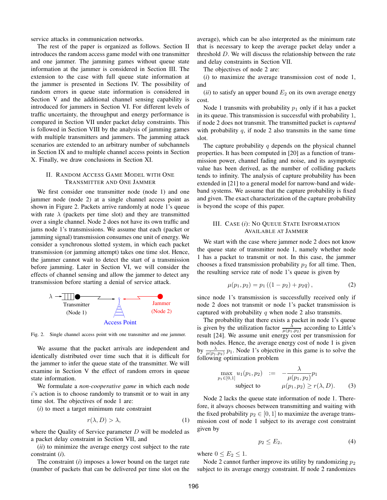service attacks in communication networks.

The rest of the paper is organized as follows. Section II introduces the random access game model with one transmitter and one jammer. The jamming games without queue state information at the jammer is considered in Section III. The extension to the case with full queue state information at the jammer is presented in Sections IV. The possibility of random errors in queue state information is considered in Section V and the additional channel sensing capability is introduced for jammers in Section VI. For different levels of traffic uncertainty, the throughput and energy performance is compared in Section VII under packet delay constraints. This is followed in Section VIII by the analysis of jamming games with multiple transmitters and jammers. The jamming attack scenarios are extended to an arbitrary number of subchannels in Section IX and to multiple channel access points in Section X. Finally, we draw conclusions in Section XI.

#### II. RANDOM ACCESS GAME MODEL WITH ONE TRANSMITTER AND ONE JAMMER

We first consider one transmitter node (node 1) and one jammer node (node 2) at a single channel access point as shown in Figure 2. Packets arrive randomly at node 1's queue with rate  $\lambda$  (packets per time slot) and they are transmitted over a single channel. Node 2 does not have its own traffic and jams node 1's transmissions. We assume that each (packet or jamming signal) transmission consumes one unit of energy. We consider a synchronous slotted system, in which each packet transmission (or jamming attempt) takes one time slot. Hence, the jammer cannot wait to detect the start of a transmission before jamming. Later in Section VI, we will consider the effects of channel sensing and allow the jammer to detect any transmission before starting a denial of service attack.



Fig. 2. Single channel access point with one transmitter and one jammer.

We assume that the packet arrivals are independent and identically distributed over time such that it is difficult for the jammer to infer the queue state of the transmitter. We will examine in Section V the effect of random errors in queue state information.

We formulate a *non-cooperative game* in which each node i's action is to choose randomly to transmit or to wait in any time slot. The objectives of node 1 are:

(*i*) to meet a target minimum rate constraint

$$
r(\lambda, D) > \lambda,\tag{1}
$$

where the Quality of Service parameter  $D$  will be modeled as a packet delay constraint in Section VII, and

(*ii*) to minimize the average energy cost subject to the rate constraint (*i*).

The constraint (*i*) imposes a lower bound on the target rate (number of packets that can be delivered per time slot on the average), which can be also interpreted as the minimum rate that is necessary to keep the average packet delay under a threshold D. We will discuss the relationship between the rate and delay constraints in Section VII.

The objectives of node 2 are:

(*i*) to maximize the average transmission cost of node 1, and

( $ii$ ) to satisfy an upper bound  $E_2$  on its own average energy cost.

Node 1 transmits with probability  $p_1$  only if it has a packet in its queue. This transmission is successful with probability 1, if node 2 does not transmit. The transmitted packet is *captured* with probability  $q$ , if node 2 also transmits in the same time slot.

The capture probability  $q$  depends on the physical channel properties. It has been computed in [20] as a function of transmission power, channel fading and noise, and its asymptotic value has been derived, as the number of colliding packets tends to infinity. The analysis of capture probability has been extended in [21] to a general model for narrow-band and wideband systems. We assume that the capture probability is fixed and given. The exact characterization of the capture probability is beyond the scope of this paper.

#### III. CASE (*i*): NO QUEUE STATE INFORMATION AVAILABLE AT JAMMER

We start with the case where jammer node 2 does not know the queue state of transmitter node 1, namely whether node 1 has a packet to transmit or not. In this case, the jammer chooses a fixed transmission probability  $p_2$  for all time. Then, the resulting service rate of node 1's queue is given by

$$
\mu(p_1, p_2) = p_1 ((1 - p_2) + p_2 q), \qquad (2)
$$

since node 1's transmission is successfully received only if node 2 does not transmit or node 1's packet transmission is captured with probability  $q$  when node 2 also transmits.

The probability that there exists a packet in node 1's queue is given by the utilization factor  $\frac{\lambda}{\mu(p_1, p_2)}$  according to Little's result [24]. We assume unit energy cost per transmission for both nodes. Hence, the average energy cost of node 1 is given by  $\frac{\lambda}{\mu(p_1, p_2)} p_1$ . Node 1's objective in this game is to solve the following optimization problem

$$
\max_{p_1 \in [0,1]} u_1(p_1, p_2) := -\frac{\lambda}{\mu(p_1, p_2)} p_1 \n\text{subject to} \qquad \mu(p_1, p_2) \ge r(\lambda, D).
$$
 (3)

Node 2 lacks the queue state information of node 1. Therefore, it always chooses between transmitting and waiting with the fixed probability  $p_2 \in [0, 1]$  to maximize the average transmission cost of node 1 subject to its average cost constraint given by

$$
p_2 \le E_2,\tag{4}
$$

where  $0 \le E_2 \le 1$ .

Node 2 cannot further improve its utility by randomizing  $p_2$ subject to its average energy constraint. If node 2 randomizes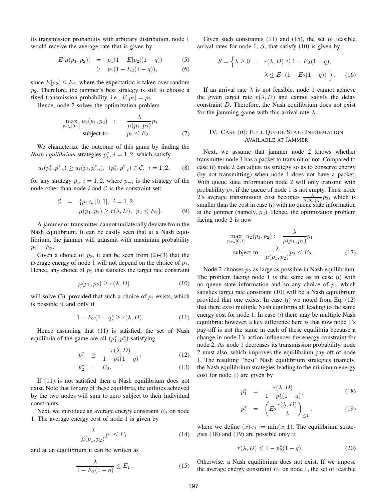its transmission probability with arbitrary distribution, node 1 would receive the average rate that is given by

$$
E[\mu(p_1, p_2)] = p_1(1 - E[p_2](1 - q))
$$
\n
$$
\geq p_1(1 - E_2(1 - q)),
$$
\n(6)

since  $E[p_2] \leq E_2$ , where the expectation is taken over random  $p_2$ . Therefore, the jammer's best strategy is still to choose a fixed transmission probability, i.e.,  $E[p_2] = p_2$ 

Hence, node 2 solves the optimization problem

$$
\max_{p_2 \in [0,1]} u_2(p_1, p_2) := \frac{\lambda}{\mu(p_1, p_2)} p_1 \n \text{subject to} \qquad p_2 \le E_2.
$$
\n(7)

We characterize the outcome of this game by finding the *Nash equilibrium* strategies  $p_i^*$ ,  $i = 1, 2$ , which satisfy

$$
u_i(p_i^*, p_{-i}^*) \ge u_i(p_i, p_{-i}^*), \ (p_i^*, p_{-i}^*) \in \mathcal{C}, \ i = 1, 2, \qquad (8)
$$

for any strategy  $p_i$ ,  $i = 1, 2$ , where  $p_{-i}$  is the strategy of the node other than node  $i$  and  $C$  is the constraint set:

$$
C = \{p_i \in [0, 1], i = 1, 2,\mu(p_1, p_2) \ge r(\lambda, D), p_2 \le E_2\}.
$$
\n(9)

A jammer or transmitter cannot unilaterally deviate from the Nash equilibrium. It can be easily seen that at a Nash equilibrium, the jammer will transmit with maximum probability  $p_2 = E_2.$ 

Given a choice of  $p_2$ , it can be seen from (2)-(3) that the average energy of node 1 will not depend on the choice of  $p_1$ . Hence, any choice of  $p_1$  that satisfies the target rate constraint

$$
\mu(p_1, p_2) \ge r(\lambda, D) \tag{10}
$$

will solve (3), provided that such a choice of  $p_1$  exists, which is possible if and only if

$$
1 - E_2(1 - q) \ge r(\lambda, D). \tag{11}
$$

Hence assuming that (11) is satisfied, the set of Nash equilibria of the game are all  $(p_1^*, p_2^*)$  satisfying

$$
p_1^* \ge \frac{r(\lambda, D)}{1 - p_2^*(1 - q)}, \tag{12}
$$

$$
p_2^* = E_2. \t\t(13)
$$

If (11) is not satisfied then a Nash equilibrium does not exist. Note that for any of these equilibria, the utilities achieved by the two nodes will sum to zero subject to their individual constraints.

Next, we introduce an average energy constraint  $E_1$  on node 1. The average energy cost of node 1 is given by

$$
\frac{\lambda}{\mu(p_1, p_2)} p_1 \le E_1 \tag{14}
$$

and at an equilibrium it can be written as

$$
\frac{\lambda}{1 - E_2(1 - q)} \le E_1. \tag{15}
$$

Given such constraints (11) and (15), the set of feasible arrival rates for node 1,  $S$ , that satisfy (10) is given by

$$
S = \left\{ \lambda \ge 0 : r(\lambda, D) \le 1 - E_2(1 - q), \lambda \le E_1 (1 - E_2(1 - q)) \right\}.
$$
 (16)

If an arrival rate  $\lambda$  is not feasible, node 1 cannot achieve the given target rate  $r(\lambda, D)$  and cannot satisfy the delay constraint D. Therefore, the Nash equilibrium does not exist for the jamming game with this arrival rate  $\lambda$ .

#### IV. CASE (*ii*): FULL QUEUE STATE INFORMATION AVAILABLE AT JAMMER

Next, we assume that jammer node 2 knows whether transmitter node 1 has a packet to transmit or not. Compared to case (*i*) node 2 can adjust its strategy so as to conserve energy (by not transmitting) when node 1 does not have a packet. With queue state information node 2 will only transmit with probability  $p_2$ , if the queue of node 1 is not empty. Thus, node 2's average transmission cost becomes  $\frac{\lambda}{\mu(p_1, p_2)} p_2$ , which is smaller than the cost in case  $(i)$  with no queue state information at the jammer (namely,  $p_2$ ). Hence, the optimization problem facing node 2 is now

$$
\max_{p_2 \in [0,1]} u_2(p_1, p_2) := \frac{\lambda}{\mu(p_1, p_2)} p_1
$$
\n
$$
\text{subject to } \frac{\lambda}{\mu(p_1, p_2)} p_2 \le E_2. \tag{17}
$$

Node 2 chooses  $p_2$  as large as possible in Nash equilibrium. The problem facing node 1 is the same as in case (*i*) with no queue state information and so any choice of  $p_1$  which satisfies target rate constraint (10) will be a Nash equilibrium provided that one exists. In case (*i*) we noted from Eq. (12) that there exist multiple Nash equilibria all leading to the same energy cost for node 1. In case (*i*) there may be multiple Nash equilibria; however, a key difference here is that now node 1's pay-off is not the same in each of these equilibria because a change in node 1's action influences the energy constraint for node 2. As node 1 decreases its transmission probability, node 2 must also, which improves the equilibrium pay-off of node 1. The resulting "best" Nash equilibrium strategies (namely, the Nash equilibrium strategies leading to the minimum energy cost for node 1) are given by

$$
p_1^* = \frac{r(\lambda, D)}{1 - p_2^*(1 - q)},
$$
\n(18)

$$
p_2^* = \left( E_2 \frac{r(\lambda, D)}{\lambda} \right)_{\leq 1}, \tag{19}
$$

where we define  $(x)_{\leq 1} := \min(x, 1)$ . The equilibrium strategies (18) and (19) are possible only if

$$
r(\lambda, D) \le 1 - p_2^*(1 - q). \tag{20}
$$

Otherwise, a Nash equilibrium does not exist. If we impose the average energy constraint  $E_1$  on node 1, the set of feasible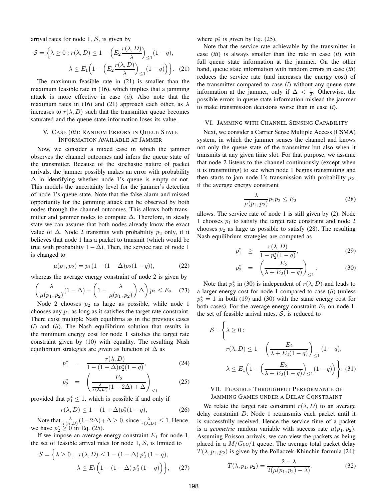arrival rates for node 1,  $S$ , is given by

$$
S = \left\{ \lambda \ge 0 : r(\lambda, D) \le 1 - \left( E_2 \frac{r(\lambda, D)}{\lambda} \right)_{\le 1} (1 - q), \lambda \le E_1 \left( 1 - \left( E_2 \frac{r(\lambda, D)}{\lambda} \right)_{\le 1} (1 - q) \right) \right\}.
$$
 (21)

The maximum feasible rate in (21) is smaller than the maximum feasible rate in (16), which implies that a jamming attack is more effective in case (*ii*). Also note that the maximum rates in (16) and (21) approach each other, as  $\lambda$ increases to  $r(\lambda, D)$  such that the transmitter queue becomes saturated and the queue state information loses its value.

#### V. CASE (*iii*): RANDOM ERRORS IN QUEUE STATE INFORMATION AVAILABLE AT JAMMER

Now, we consider a mixed case in which the jammer observes the channel outcomes and infers the queue state of the transmitter. Because of the stochastic nature of packet arrivals, the jammer possibly makes an error with probability  $\Delta$  in identifying whether node 1's queue is empty or not. This models the uncertainty level for the jammer's detection of node 1's queue state. Note that the false alarm and missed opportunity for the jamming attack can be observed by both nodes through the channel outcomes. This allows both transmitter and jammer nodes to compute  $\Delta$ . Therefore, in steady state we can assume that both nodes already know the exact value of  $\Delta$ . Node 2 transmits with probability  $p_2$  only, if it believes that node 1 has a packet to transmit (which would be true with probability  $1 - \Delta$ ). Then, the service rate of node 1 is changed to

$$
\mu(p_1, p_2) = p_1(1 - (1 - \Delta)p_2(1 - q)), \tag{22}
$$

whereas the average energy constraint of node 2 is given by

$$
\left(\frac{\lambda}{\mu(p_1, p_2)}(1 - \Delta) + \left(1 - \frac{\lambda}{\mu(p_1, p_2)}\right)\Delta\right)p_2 \le E_2. \quad (23)
$$

Node 2 chooses  $p_2$  as large as possible, while node 1 chooses any  $p_1$  as long as it satisfies the target rate constraint. There exist multiple Nash equilibria as in the previous cases (*i*) and (*ii*). The Nash equilibrium solution that results in the minimum energy cost for node 1 satisfies the target rate constraint given by (10) with equality. The resulting Nash equilibrium strategies are given as function of  $\Delta$  as

$$
p_1^* = \frac{r(\lambda, D)}{1 - (1 - \Delta)p_2^*(1 - q)},
$$
\n(24)

$$
p_2^* = \left(\frac{E_2}{\frac{\lambda}{r(\lambda, D)}(1 - 2\Delta) + \Delta}\right)_{\leq 1} \tag{25}
$$

provided that  $p_1^* \leq 1$ , which is possible if and only if

$$
r(\lambda, D) \le 1 - (1 + \Delta)p_2^*(1 - q),
$$
 (26)

Note that  $\frac{\lambda}{r(\lambda, D)}(1-2\Delta) + \Delta \ge 0$ , since  $\frac{\lambda}{r(\lambda, D)} \le 1$ . Hence, we have  $p_2^* \geq 0$  in Eq. (25).

If we impose an average energy constraint  $E_1$  for node 1, the set of feasible arrival rates for node 1,  $S$ , is limited to

$$
S = \left\{ \lambda \ge 0 : r(\lambda, D) \le 1 - (1 - \Delta) p_2^* (1 - q), \lambda \le E_1 \left( 1 - (1 - \Delta) p_2^* (1 - q) \right) \right\}, \quad (27)
$$

where  $p_2^*$  is given by Eq. (25).

Note that the service rate achievable by the transmitter in case (*iii*) is always smaller than the rate in case (*ii*) with full queue state information at the jammer. On the other hand, queue state information with random errors in case (*iii*) reduces the service rate (and increases the energy cost) of the transmitter compared to case (*i*) without any queue state information at the jammer, only if  $\Delta < \frac{1}{2}$ . Otherwise, the possible errors in queue state information mislead the jammer to make transmission decisions worse than in case (*i*).

#### VI. JAMMING WITH CHANNEL SENSING CAPABILITY

Next, we consider a Carrier Sense Multiple Access (CSMA) system, in which the jammer senses the channel and knows not only the queue state of the transmitter but also when it transmits at any given time slot. For that purpose, we assume that node 2 listens to the channel continuously (except when it is transmitting) to see when node 1 begins transmitting and then starts to jam node 1's transmission with probability  $p_2$ , if the average energy constraint

$$
\frac{\lambda}{\mu(p_1, p_2)} p_1 p_2 \le E_2 \tag{28}
$$

allows. The service rate of node 1 is still given by (2). Node 1 chooses  $p_1$  to satisfy the target rate constraint and node 2 chooses  $p_2$  as large as possible to satisfy (28). The resulting Nash equilibrium strategies are computed as

$$
p_1^* \ge \frac{r(\lambda, D)}{1 - p_2^*(1 - q)},
$$
\n(29)

$$
p_2^* = \left(\frac{E_2}{\lambda + E_2(1-q)}\right)_{\leq 1}.
$$
 (30)

Note that  $p_2^*$  in (30) is independent of  $r(\lambda, D)$  and leads to a larger energy cost for node 1 compared to case (*ii*) (unless  $p_2^* = 1$  in both (19) and (30) with the same energy cost for both cases). For the average energy constraint  $E_1$  on node 1, the set of feasible arrival rates,  $S$ , is reduced to

$$
S = \left\{ \lambda \ge 0 : \n r(\lambda, D) \le 1 - \left( \frac{E_2}{\lambda + E_2(1-q)} \right)_{\le 1} (1-q), \n \lambda \le E_1 \left( 1 - \left( \frac{E_2}{\lambda + E_2(1-q)} \right)_{\le 1} (1-q) \right) \right\}.
$$
\n(31)

#### VII. FEASIBLE THROUGHPUT PERFORMANCE OF JAMMING GAMES UNDER A DELAY CONSTRAINT

We relate the target rate constraint  $r(\lambda, D)$  to an average delay constraint D. Node 1 retransmits each packet until it is successfully received. Hence the service time of a packet is a *geometric* random variable with success rate  $\mu(p_1, p_2)$ . Assuming Poisson arrivals, we can view the packets as being placed in a  $M/Geo/1$  queue. The average total packet delay  $T(\lambda, p_1, p_2)$  is given by the Pollaczek-Khinchin formula [24]:

$$
T(\lambda, p_1, p_2) = \frac{2 - \lambda}{2(\mu(p_1, p_2) - \lambda)}.\tag{32}
$$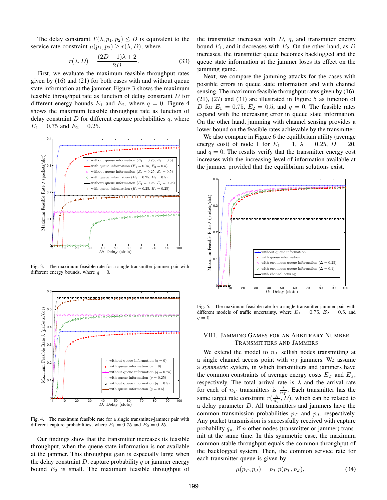The delay constraint  $T(\lambda, p_1, p_2) \leq D$  is equivalent to the service rate constraint  $\mu(p_1, p_2) \ge r(\lambda, D)$ , where

$$
r(\lambda, D) = \frac{(2D - 1)\lambda + 2}{2D}.
$$
 (33)

First, we evaluate the maximum feasible throughput rates given by (16) and (21) for both cases with and without queue state information at the jammer. Figure 3 shows the maximum feasible throughput rate as function of delay constraint D for different energy bounds  $E_1$  and  $E_2$ , where  $q = 0$ . Figure 4 shows the maximum feasible throughput rate as function of delay constraint  $D$  for different capture probabilities  $q$ , where  $E_1 = 0.75$  and  $E_2 = 0.25$ .



Fig. 3. The maximum feasible rate for a single transmitter-jammer pair with different energy bounds, where  $q = 0$ .



Fig. 4. The maximum feasible rate for a single transmitter-jammer pair with different capture probabilities, where  $E_1 = 0.75$  and  $E_2 = 0.25$ .

Our findings show that the transmitter increases its feasible throughput, when the queue state information is not available at the jammer. This throughput gain is especially large when the delay constraint  $D$ , capture probability  $q$  or jammer energy bound  $E_2$  is small. The maximum feasible throughput of

the transmitter increases with  $D$ ,  $q$ , and transmitter energy bound  $E_1$ , and it decreases with  $E_2$ . On the other hand, as D increases, the transmitter queue becomes backlogged and the queue state information at the jammer loses its effect on the jamming game.

lower bound on the feasible rates achievable by the transmitter. Next, we compare the jamming attacks for the cases with possible errors in queue state information and with channel sensing. The maximum feasible throughput rates given by (16), (21), (27) and (31) are illustrated in Figure 5 as function of D for  $E_1 = 0.75$ ,  $E_2 = 0.5$ , and  $q = 0$ . The feasible rates expand with the increasing error in queue state information. On the other hand, jamming with channel sensing provides a

We also compare in Figure 6 the equilibrium utility (average energy cost) of node 1 for  $E_1 = 1$ ,  $\lambda = 0.25$ ,  $D = 20$ , and  $q = 0$ . The results verify that the transmitter energy cost increases with the increasing level of information available at the jammer provided that the equilibrium solutions exist.



Fig. 5. The maximum feasible rate for a single transmitter-jammer pair with different models of traffic uncertainty, where  $E_1 = 0.75$ ,  $E_2 = 0.5$ , and  $q=0.$ 

#### VIII. JAMMING GAMES FOR AN ARBITRARY NUMBER TRANSMITTERS AND JAMMERS

1 the backlogged system. Then, the common service rate for We extend the model to  $n<sub>T</sub>$  selfish nodes transmitting at a single channel access point with  $n<sub>J</sub>$  jammers. We assume a *symmetric* system, in which transmitters and jammers have the common constraints of average energy costs  $E_T$  and  $E_J$ , respectively. The total arrival rate is  $\lambda$  and the arrival rate for each of  $n_T$  transmitters is  $\frac{\lambda}{n_T}$ . Each transmitter has the same target rate constraint  $r(\frac{\lambda}{n_T}, D)$ , which can be related to a delay parameter  $D$ . All transmitters and jammers have the common transmission probabilities  $p_T$  and  $p_J$ , respectively. Any packet transmission is successfully received with capture probability  $q_n$ , if n other nodes (transmitter or jammer) transmit at the same time. In this symmetric case, the maximum common stable throughput equals the common throughput of each transmitter queue is given by

$$
\mu(p_T, p_J) = p_T \,\tilde{p}(p_T, p_J),\tag{34}
$$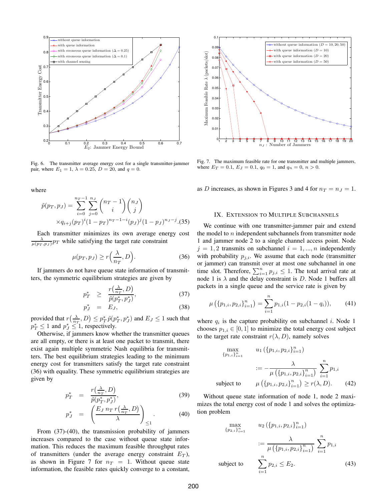

Fig. 6. The transmitter average energy cost for a single transmitter-jammer pair, where  $E_1 = 1$ ,  $\lambda = 0.25$ ,  $D = 20$ , and  $q = 0$ .

where

$$
\tilde{p}(p_T, p_J) = \sum_{i=0}^{n_T-1} \sum_{j=0}^{n_J} \binom{n_T-1}{i} \binom{n_J}{j}
$$
  
 
$$
\times q_{i+j}(p_T)^i (1-p_T)^{n_T-1-i} (p_J)^j (1-p_J)^{n_J-j} . (35)
$$

Each transmitter minimizes its own average energy cost  $\epsilon$  $\frac{\lambda}{\mu(p_T, p_J)} p_T$  while satisfying the target rate constraint

$$
\mu(p_T, p_J) \ge r\left(\frac{\lambda}{n_T}, D\right). \tag{36}
$$

If jammers do not have queue state information of transmitters, the symmetric equilibrium strategies are given by

$$
p_T^* \geq \frac{r\left(\frac{\lambda}{n_T}, D\right)}{\tilde{p}(p_T^*, p_J^*)},\tag{37}
$$

$$
p_J^* = E_J,\t\t(38)
$$

provided that  $r(\frac{\lambda}{n_T}, D) \leq p_T^* \tilde{p}(p_T^*, p_J^*)$  and  $E_J \leq 1$  such that  $p_T^* \leq 1$  and  $p_J^* \leq 1$ , respectively.

Otherwise, if jammers know whether the transmitter queues are all empty, or there is at least one packet to transmit, there exist again multiple symmetric Nash equilibria for transmitters. The best equilibrium strategies leading to the minimum energy cost for transmitters satisfy the target rate constraint (36) with equality. These symmetric equilibrium strategies are given by

$$
p_T^* = \frac{r\left(\frac{\lambda}{n_T}, D\right)}{\tilde{p}(p_T^*, p_J^*)},\tag{39}
$$

$$
p_J^* = \left(\frac{E_J n_T r\left(\frac{\lambda}{n_T}, D\right)}{\lambda}\right)_{\leq 1}.
$$
 (40)

From (37)-(40), the transmission probability of jammers increases compared to the case without queue state information. This reduces the maximum feasible throughput rates of transmitters (under the average energy constraint  $E_T$ ), as shown in Figure 7 for  $n_T = 1$ . Without queue state information, the feasible rates quickly converge to a constant,



Fig. 7. The maximum feasible rate for one transmitter and multiple jammers, where  $E_T = 0.1$ ,  $E_J = 0.1$ ,  $q_0 = 1$ , and  $q_n = 0$ ,  $n > 0$ .

as D increases, as shown in Figures 3 and 4 for  $n_T = n_J = 1$ .

#### IX. EXTENSION TO MULTIPLE SUBCHANNELS

We continue with one transmitter-jammer pair and extend the model to  $n$  independent subchannels from transmitter node 1 and jammer node 2 to a single channel access point. Node  $j = 1, 2$  transmits on subchannel  $i = 1, ..., n$  independently with probability  $p_{j,i}$ . We assume that each node (transmitter or jammer) can transmit over at most one subchannel in one time slot. Therefore,  $\sum_{i=1}^{n} p_{j,i} \leq 1$ . The total arrival rate at node 1 is  $\lambda$  and the delay constraint is D. Node 1 buffers all packets in a single queue and the service rate is given by

$$
\mu\left(\{p_{1,i}, p_{2,i}\}_{i=1}^n\right) = \sum_{i=1}^n p_{1,i} (1 - p_{2,i} (1 - q_i)),\tag{41}
$$

where  $q_i$  is the capture probability on subchannel i. Node 1 chooses  $p_{1,i} \in [0,1]$  to minimize the total energy cost subject to the target rate constraint  $r(\lambda, D)$ , namely solves

$$
\max_{\{p_{1,i}\}_{i=1}^n} \qquad u_1(\{p_{1,i}, p_{2,i}\}_{i=1}^n)
$$
\n
$$
:= -\frac{\lambda}{\mu(\{p_{1,i}, p_{2,i}\}_{i=1}^n)} \sum_{i=1}^n p_{1,i}
$$
\nsubject to\n
$$
\mu(\{p_{1,i}, p_{2,i}\}_{i=1}^n) \ge r(\lambda, D). \qquad (42)
$$

tion problem Without queue state information of node 1, node 2 maximizes the total energy cost of node 1 and solves the optimiza-

$$
\max_{\{p_{2,i}\}_{i=1}^n} \qquad u_2(\{p_{1,i}, p_{2,i}\}_{i=1}^n)
$$
\n
$$
:= \frac{\lambda}{\mu(\{p_{1,i}, p_{2,i}\}_{i=1}^n)} \sum_{i=1}^n p_{1,i}
$$
\nsubject to\n
$$
\sum_{i=1}^n p_{2,i} \le E_2.
$$
\n(43)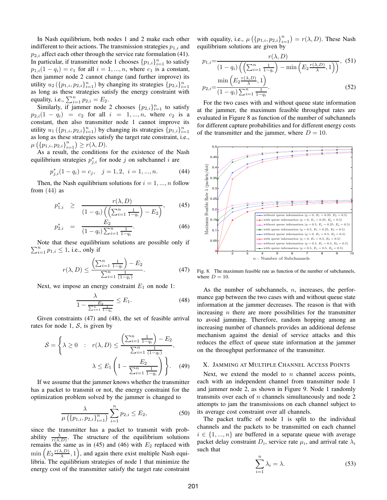In Nash equilibrium, both nodes 1 and 2 make each other indifferent to their actions. The transmission strategies  $p_{1,i}$  and  $p_{2,i}$  affect each other through the service rate formulation (41). In particular, if transmitter node 1 chooses  $\{p_{1,i}\}_{i=1}^n$  to satisfy  $p_{1,i}(1 - q_i) = c_1$  for all  $i = 1, ..., n$ , where  $c_1$  is a constant, then jammer node 2 cannot change (and further improve) its utility  $u_2\left(\{p_{1,i}, p_{2,i}\}_{i=1}^n\right)$  by changing its strategies  $\{p_{2,i}\}_{i=1}^n$ as long as these strategies satisfy the energy constraint with equality, i.e.,  $\sum_{i=1}^{n} p_{2,i} = E_2$ .

Similarly, if jammer node 2 chooses  $\{p_{2,i}\}_{i=1}^n$  to satisfy  $p_{2,i}(1 - q_i) = c_2$  for all  $i = 1, ..., n$ , where  $c_2$  is a constant, then also transmitter node 1 cannot improve its utility  $u_1$  ( $\{p_{1,i}, p_{2,i}\}_{i=1}^n$ ) by changing its strategies  $\{p_{1,i}\}_{i=1}^n$ as long as these strategies satisfy the target rate constraint, i.e.,  $\mu\left(\{p_{1,i}, p_{2,i}\}_{i=1}^n\right) \geq r(\lambda, D).$ 

As a result, the conditions for the existence of the Nash equilibrium strategies  $p_{j,i}^*$  for node j on subchannel i are

$$
p_{j,i}^*(1 - q_i) = c_j, \quad j = 1, 2, \ i = 1, ..., n.
$$
 (44)

Then, the Nash equilibrium solutions for  $i = 1, ..., n$  follow from  $(44)$  as

$$
p_{1,i}^* \geq \frac{r(\lambda, D)}{(1 - q_i) \left( \left( \sum_{i=1}^n \frac{1}{1 - q_i} \right) - E_2 \right)},
$$
 (45)

$$
p_{2,i}^* = \frac{E_2}{(1-q_i)\sum_{i=1}^n \frac{1}{1-q_i}}.\tag{46}
$$

 $\sum_{i=1}^{n} p_{1,i} \leq 1$ , i.e., only if Note that these equilibrium solutions are possible only if

$$
r(\lambda, D) \le \frac{\left(\sum_{i=1}^{n} \frac{1}{1 - q_i}\right) - E_2}{\sum_{i=1}^{n} \frac{1}{(1 - q_i)}}.
$$
 (47)

Next, we impose an energy constraint  $E_1$  on node 1:

$$
\frac{\lambda}{1 - \frac{E_2}{\sum_{i=1}^n \frac{1}{1 - q_i}}} \le E_1.
$$
\n(48)

Given constraints (47) and (48), the set of feasible arrival rates for node 1,  $S$ , is given by

$$
S = \left\{ \lambda \ge 0 : r(\lambda, D) \le \frac{\left(\sum_{i=1}^n \frac{1}{1-q_i}\right) - E_2}{\sum_{i=1}^n \frac{1}{(1-q_i)}}, \lambda \le E_1 \left(1 - \frac{E_2}{\sum_{i=1}^n \frac{1}{1-q_i}}\right) \right\}.
$$
 (49)

If we assume that the jammer knows whether the transmitter has a packet to transmit or not, the energy constraint for the optimization problem solved by the jammer is changed to

$$
\frac{\lambda}{\mu\left(\{p_{1,i}, p_{2,i}\}_{i=1}^n\right)} \sum_{i=1}^n p_{2,i} \le E_2,
$$
\n(50)

since the transmitter has a packet to transmit with probability  $\frac{\lambda}{r(\lambda,D)}$ . The structure of the equilibrium solutions remains the same as in (45) and (46) with  $E_2$  replaced with  $\min\left(E_2 \frac{r(\lambda,D)}{\lambda}\right)$  $\left(\frac{\lambda, D}{\lambda}, 1\right)$ , and again there exist multiple Nash equilibria. The equilibrium strategies of node 1 that minimize the energy cost of the transmitter satisfy the target rate constraint

with equality, i.e.,  $\mu\left(\left\{p_{1,i}, p_{2,i}\right\}_{i=1}^n\right) = r(\lambda, D)$ . These Nash equilibrium solutions are given by

$$
p_{1,i} = \frac{r(\lambda, D)}{(1 - q_i) \left( \left( \sum_{i=1}^n \frac{1}{1 - q_i} \right) - \min \left( E_2 \frac{r(\lambda, D)}{\lambda}, 1 \right) \right)}, \quad (51)
$$

$$
\min \left( E_2 \frac{r(\lambda, D)}{\lambda}, 1 \right) \tag{52}
$$

$$
p_{2,i} = \frac{2 \lambda}{(1 - q_i) \sum_{i=1}^{n} \frac{1}{1 - q_i}}.
$$
\n(52)

For the two cases with and without queue state information at the jammer, the maximum feasible throughput rates are evaluated in Figure 8 as function of the number of subchannels for different capture probabilities and for different energy costs of the transmitter and the jammer, where  $D = 10$ .



Fig. 8. The maximum feasible rate as function of the number of subchannels, where  $D = 10$ .

As the number of subchannels,  $n$ , increases, the performance gap between the two cases with and without queue state information at the jammer decreases. The reason is that with increasing  $n$  there are more possibilities for the transmitter to avoid jamming. Therefore, random hopping among an increasing number of channels provides an additional defense mechanism against the denial of service attacks and this reduces the effect of queue state information at the jammer on the throughput performance of the transmitter.

#### X. JAMMING AT MULTIPLE CHANNEL ACCESS POINTS

1 each with an independent channel from transmitter node 1 and jammer node 2, as shown in Figure 9. Node 1 randomly transmits over each of  $n$  channels simultaneously and node 2 attempts to jam the transmissions on each channel subject to Next, we extend the model to  $n$  channel access points, its average cost constraint over all channels.

The packet traffic of node 1 is split to the individual channels and the packets to be transmitted on each channel  $i \in \{1, ..., n\}$  are buffered in a separate queue with average packet delay constraint  $D_i$ , service rate  $\mu_i$ , and arrival rate  $\lambda_i$ such that

$$
\sum_{i=1}^{n} \lambda_i = \lambda. \tag{53}
$$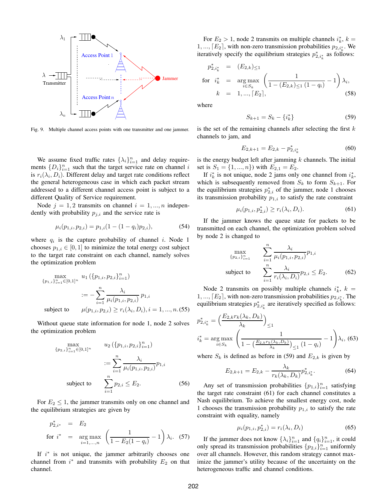

Fig. 9. Multiple channel access points with one transmitter and one jammer.

We assume fixed traffic rates  $\{\lambda_i\}_{i=1}^n$  and delay requirements  $\{D_i\}_{i=1}^n$  such that the target service rate on channel i is  $r_i(\lambda_i, D_i)$ . Different delay and target rate conditions reflect the general heterogeneous case in which each packet stream addressed to a different channel access point is subject to a different Quality of Service requirement.

Node  $j = 1, 2$  transmits on channel  $i = 1, ..., n$  independently with probability  $p_{j,i}$  and the service rate is

$$
\mu_i(p_{1,i}, p_{2,i}) = p_{1,i}(1 - (1 - q_i)p_{2,i}), \tag{54}
$$

where  $q_i$  is the capture probability of channel i. Node 1 chooses  $p_{1,i} \in [0,1]$  to minimize the total energy cost subject to the target rate constraint on each channel, namely solves the optimization problem

$$
\max_{\{p_{1,i}\}_{i=1}^n \in [0,1]^n} u_1(\{p_{1,i}, p_{2,i}\}_{i=1}^n)
$$
  

$$
:= -\sum_{i=1}^n \frac{\lambda_i}{\mu_i(p_{1,i}, p_{2,i})} p_{1,i}
$$
  
subject to  $\mu(p_{1,i}, p_{2,i}) \ge r_i(\lambda_i, D_i), i = 1, ..., n.(55)$ 

Without queue state information for node 1, node 2 solves the optimization problem

$$
\max_{\{p_{2,i}\}_{i=1}^n \in [0,1]^n} \qquad u_2(\{p_{1,i}, p_{2,i}\}_{i=1}^n) \\
:= \sum_{i=1}^n \frac{\lambda_i}{\mu_i(p_{1,i}, p_{2,i})} p_{1,i} \\
 \text{subject to} \qquad \sum_{i=1}^n p_{2,i} \le E_2. \tag{56}
$$

For  $E_2 \leq 1$ , the jammer transmits only on one channel and the equilibrium strategies are given by

$$
p_{2,i^*}^* = E_2
$$
  
for  $i^* = \arg \max_{i=1,...,n} \left( \frac{1}{1 - E_2(1 - q_i)} - 1 \right) \lambda_i$ . (57)

If  $i^*$  is not unique, the jammer arbitrarily chooses one channel from  $i^*$  and transmits with probability  $E_2$  on that channel.

For  $E_2 > 1$ , node 2 transmits on multiple channels  $i_k^*$ ,  $k =$ 1, ...,  $[E_2]$ , with non-zero transmission probabilities  $p_{2,i_k^*}$ . We iteratively specify the equilibrium strategies  $p_{2,i_k}^*$  as follows:

$$
p_{2,i_k^*}^* = (E_{2,k})_{\leq 1}
$$
  
for  $i_k^*$  = arg max  $\left(\frac{1}{1 - (E_{2,k})_{\leq 1} (1 - q_i)} - 1\right) \lambda_i$ ,  
 $k = 1, ..., [E_2]$ , (58)

where

$$
S_{k+1} = S_k - \{i_k^*\}\tag{59}
$$

is the set of the remaining channels after selecting the first  $k$ channels to jam, and

$$
E_{2,k+1} = E_{2,k} - p_{2,i_k^*}^* \tag{60}
$$

is the energy budget left after jamming  $k$  channels. The initial set is  $S_1 = \{1, ..., n\}$  with  $E_{2,1} = E_2$ .

If  $i_k^*$  is not unique, node 2 jams only one channel from  $i_k^*$ , which is subsequently removed from  $S_k$  to form  $S_{k+1}$ . For the equilibrium strategies  $p_{2,i}^*$  of the jammer, node 1 chooses its transmission probability  $p_{1,i}$  to satisfy the rate constraint

$$
\mu_i(p_{1,i}, p_{2,i}^*) \ge r_i(\lambda_i, D_i). \tag{61}
$$

If the jammer knows the queue state for packets to be transmitted on each channel, the optimization problem solved by node 2 is changed to

$$
\max_{\{p_{2,i}\}_{i=1}^n} \sum_{i=1}^n \frac{\lambda_i}{\mu_i(p_{1,i}, p_{2,i})} p_{1,i}
$$
\nsubject to\n
$$
\sum_{i=1}^n \frac{\lambda_i}{r_i(\lambda_i, D_i)} p_{2,i} \le E_2.
$$
\n(62)

Node 2 transmits on possibly multiple channels  $i_k^*$ ,  $k =$ 1, ...,  $[E_2]$ , with non-zero transmission probabilities  $p_{2,i_k^*}$ . The equilibrium strategies  $p_{2,i_k^*}^*$  are iteratively specified as follows:

$$
p_{2,i_k^*}^* = \left(\frac{E_{2,k}r_k(\lambda_k, D_k)}{\lambda_k}\right)_{\leq 1}
$$
  

$$
i_k^* = \underset{i \in S_k}{\arg \max} \left(\frac{1}{1 - \left(\frac{E_{2,k}r_k(\lambda_k, D_k)}{\lambda_k}\right)_{\leq 1} (1 - q_i)} - 1\right) \lambda_i, \text{ (63)}
$$

where  $S_k$  is defined as before in (59) and  $E_{2,k}$  is given by

$$
E_{2,k+1} = E_{2,k} - \frac{\lambda_k}{r_k(\lambda_k, D_k)} p_{2,i_k^*}^*.
$$
 (64)

Any set of transmission probabilities  $\{p_{1,i}\}_{i=1}^n$  satisfying the target rate constraint (61) for each channel constitutes a Nash equilibrium. To achieve the smallest energy cost, node 1 chooses the transmission probability  $p_{1,i}$  to satisfy the rate constraint with equality, namely

$$
\mu_i(p_{1,i}, p_{2,i}^*) = r_i(\lambda_i, D_i)
$$
\n(65)

If the jammer does not know  $\{\lambda_i\}_{i=1}^n$  and  $\{q_i\}_{i=1}^n$ , it could only spread its transmission probabilities  $\{p_{2,i}\}_{i=1}^n$  uniformly over all channels. However, this random strategy cannot maximize the jammer's utility because of the uncertainty on the heterogeneous traffic and channel conditions.